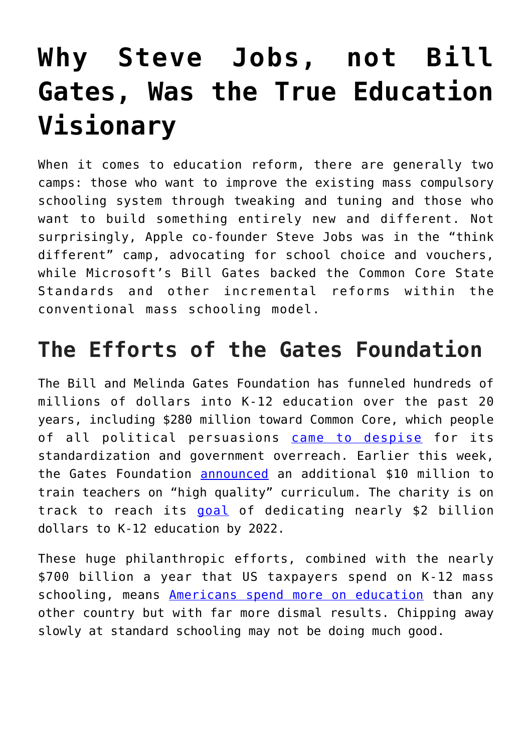## **[Why Steve Jobs, not Bill](https://intellectualtakeout.org/2019/01/why-steve-jobs-not-bill-gates-was-the-true-education-visionary/) [Gates, Was the True Education](https://intellectualtakeout.org/2019/01/why-steve-jobs-not-bill-gates-was-the-true-education-visionary/) [Visionary](https://intellectualtakeout.org/2019/01/why-steve-jobs-not-bill-gates-was-the-true-education-visionary/)**

When it comes to education reform, there are generally two camps: those who want to improve the existing mass compulsory schooling system through tweaking and tuning and those who want to build something entirely new and different. Not surprisingly, Apple co-founder Steve Jobs was in the "think different" camp, advocating for school choice and vouchers, while Microsoft's Bill Gates backed the Common Core State Standards and other incremental reforms within the conventional mass schooling model.

## **The Efforts of the Gates Foundation**

The Bill and Melinda Gates Foundation has funneled hundreds of millions of dollars into K-12 education over the past 20 years, including \$280 million toward Common Core, which people of all political persuasions [came to despise](https://www.newsweek.com/2015/10/09/how-republicans-turned-common-core-377346.html) for its standardization and government overreach. Earlier this week, the Gates Foundation [announced](http://www.edweek.org/ew/articles/2019/01/07/gates-giving-millions-to-train-teachers-on.html) an additional \$10 million to train teachers on "high quality" curriculum. The charity is on track to reach its [goal](http://www.edweek.org/ew/articles/2017/10/19/gates-foundation-announces-new-17b-for-k-12.html) of dedicating nearly \$2 billion dollars to K-12 education by 2022.

These huge philanthropic efforts, combined with the nearly \$700 billion a year that US taxpayers spend on K-12 mass schooling, means [Americans spend more on education](https://www.theguardian.com/us-news/2018/sep/07/us-education-spending-finland-south-korea) than any other country but with far more dismal results. Chipping away slowly at standard schooling may not be doing much good.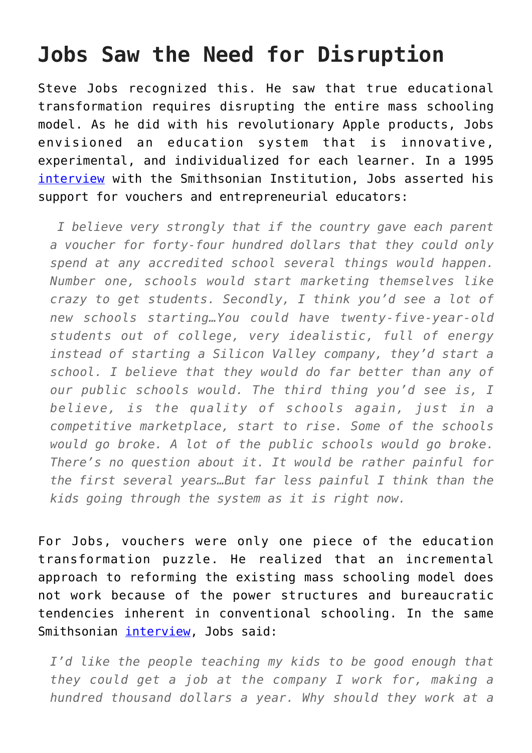## **Jobs Saw the Need for Disruption**

Steve Jobs recognized this. He saw that true educational transformation requires disrupting the entire mass schooling model. As he did with his revolutionary Apple products, Jobs envisioned an education system that is innovative, experimental, and individualized for each learner. In a 1995 [interview](http://americanhistory.si.edu/comphist/sj1.html) with the Smithsonian Institution, Jobs asserted his support for vouchers and entrepreneurial educators:

 *I believe very strongly that if the country gave each parent a voucher for forty-four hundred dollars that they could only spend at any accredited school several things would happen. Number one, schools would start marketing themselves like crazy to get students. Secondly, I think you'd see a lot of new schools starting…You could have twenty-five-year-old students out of college, very idealistic, full of energy instead of starting a Silicon Valley company, they'd start a school. I believe that they would do far better than any of our public schools would. The third thing you'd see is, I believe, is the quality of schools again, just in a competitive marketplace, start to rise. Some of the schools would go broke. A lot of the public schools would go broke. There's no question about it. It would be rather painful for the first several years…But far less painful I think than the kids going through the system as it is right now.*

For Jobs, vouchers were only one piece of the education transformation puzzle. He realized that an incremental approach to reforming the existing mass schooling model does not work because of the power structures and bureaucratic tendencies inherent in conventional schooling. In the same Smithsonian [interview](http://americanhistory.si.edu/comphist/sj1.html), Jobs said:

*I'd like the people teaching my kids to be good enough that they could get a job at the company I work for, making a hundred thousand dollars a year. Why should they work at a*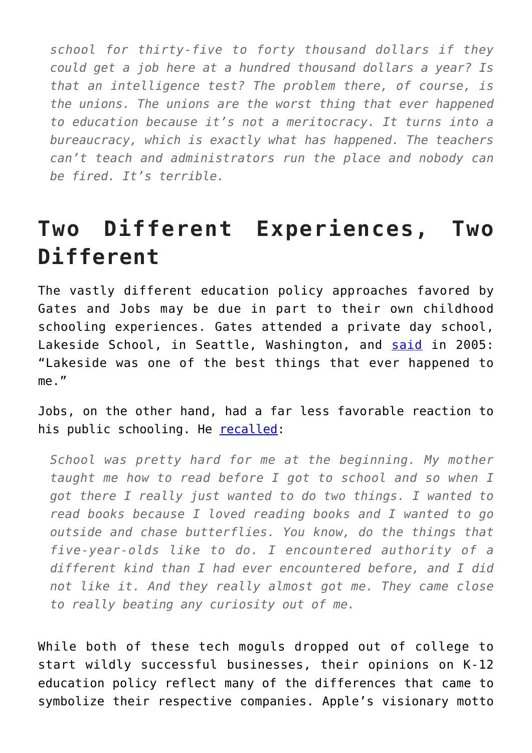*school for thirty-five to forty thousand dollars if they could get a job here at a hundred thousand dollars a year? Is that an intelligence test? The problem there, of course, is the unions. The unions are the worst thing that ever happened to education because it's not a meritocracy. It turns into a bureaucracy, which is exactly what has happened. The teachers can't teach and administrators run the place and nobody can be fired. It's terrible.*

## **Two Different Experiences, Two Different**

The vastly different education policy approaches favored by Gates and Jobs may be due in part to their own childhood schooling experiences. Gates attended a private day school, Lakeside School, in Seattle, Washington, and [said](https://www.gatesfoundation.org/media-center/speeches/2005/09/bill-gates-lakeside-school) in 2005: "Lakeside was one of the best things that ever happened to me."

Jobs, on the other hand, had a far less favorable reaction to his public schooling. He [recalled:](http://americanhistory.si.edu/comphist/sj1.html)

*School was pretty hard for me at the beginning. My mother taught me how to read before I got to school and so when I got there I really just wanted to do two things. I wanted to read books because I loved reading books and I wanted to go outside and chase butterflies. You know, do the things that five-year-olds like to do. I encountered authority of a different kind than I had ever encountered before, and I did not like it. And they really almost got me. They came close to really beating any curiosity out of me.*

While both of these tech moguls dropped out of college to start wildly successful businesses, their opinions on K-12 education policy reflect many of the differences that came to symbolize their respective companies. Apple's visionary motto